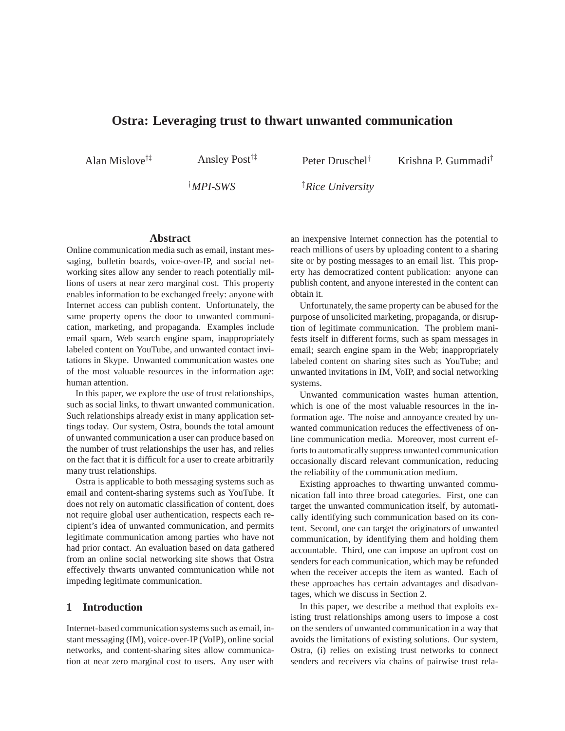# **Ostra: Leveraging trust to thwart unwanted communication**

Alan Mislove†‡ Ansley Post†‡ Peter Druschel† Krishna P. Gummadi†

†*MPI-SWS* ‡*Rice University*

### **Abstract**

Online communication media such as email, instant messaging, bulletin boards, voice-over-IP, and social networking sites allow any sender to reach potentially millions of users at near zero marginal cost. This property enables information to be exchanged freely: anyone with Internet access can publish content. Unfortunately, the same property opens the door to unwanted communication, marketing, and propaganda. Examples include email spam, Web search engine spam, inappropriately labeled content on YouTube, and unwanted contact invitations in Skype. Unwanted communication wastes one of the most valuable resources in the information age: human attention.

In this paper, we explore the use of trust relationships, such as social links, to thwart unwanted communication. Such relationships already exist in many application settings today. Our system, Ostra, bounds the total amount of unwanted communication a user can produce based on the number of trust relationships the user has, and relies on the fact that it is difficult for a user to create arbitrarily many trust relationships.

Ostra is applicable to both messaging systems such as email and content-sharing systems such as YouTube. It does not rely on automatic classification of content, does not require global user authentication, respects each recipient's idea of unwanted communication, and permits legitimate communication among parties who have not had prior contact. An evaluation based on data gathered from an online social networking site shows that Ostra effectively thwarts unwanted communication while not impeding legitimate communication.

### **1 Introduction**

Internet-based communication systems such as email, instant messaging (IM), voice-over-IP (VoIP), online social networks, and content-sharing sites allow communication at near zero marginal cost to users. Any user with an inexpensive Internet connection has the potential to reach millions of users by uploading content to a sharing site or by posting messages to an email list. This property has democratized content publication: anyone can publish content, and anyone interested in the content can obtain it.

Unfortunately, the same property can be abused for the purpose of unsolicited marketing, propaganda, or disruption of legitimate communication. The problem manifests itself in different forms, such as spam messages in email; search engine spam in the Web; inappropriately labeled content on sharing sites such as YouTube; and unwanted invitations in IM, VoIP, and social networking systems.

Unwanted communication wastes human attention, which is one of the most valuable resources in the information age. The noise and annoyance created by unwanted communication reduces the effectiveness of online communication media. Moreover, most current efforts to automatically suppress unwanted communication occasionally discard relevant communication, reducing the reliability of the communication medium.

Existing approaches to thwarting unwanted communication fall into three broad categories. First, one can target the unwanted communication itself, by automatically identifying such communication based on its content. Second, one can target the originators of unwanted communication, by identifying them and holding them accountable. Third, one can impose an upfront cost on senders for each communication, which may be refunded when the receiver accepts the item as wanted. Each of these approaches has certain advantages and disadvantages, which we discuss in Section 2.

In this paper, we describe a method that exploits existing trust relationships among users to impose a cost on the senders of unwanted communication in a way that avoids the limitations of existing solutions. Our system, Ostra, (i) relies on existing trust networks to connect senders and receivers via chains of pairwise trust rela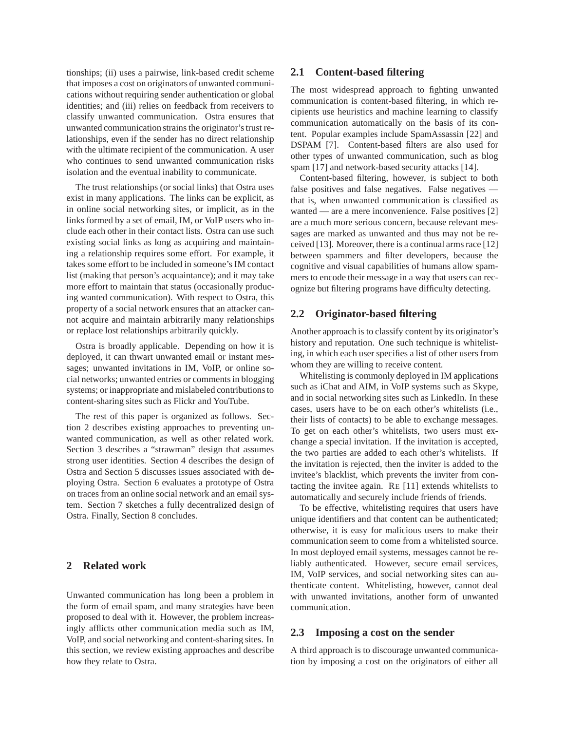tionships; (ii) uses a pairwise, link-based credit scheme that imposes a cost on originators of unwanted communications without requiring sender authentication or global identities; and (iii) relies on feedback from receivers to classify unwanted communication. Ostra ensures that unwanted communication strains the originator's trust relationships, even if the sender has no direct relationship with the ultimate recipient of the communication. A user who continues to send unwanted communication risks isolation and the eventual inability to communicate.

The trust relationships (or social links) that Ostra uses exist in many applications. The links can be explicit, as in online social networking sites, or implicit, as in the links formed by a set of email, IM, or VoIP users who include each other in their contact lists. Ostra can use such existing social links as long as acquiring and maintaining a relationship requires some effort. For example, it takes some effort to be included in someone's IM contact list (making that person's acquaintance); and it may take more effort to maintain that status (occasionally producing wanted communication). With respect to Ostra, this property of a social network ensures that an attacker cannot acquire and maintain arbitrarily many relationships or replace lost relationships arbitrarily quickly.

Ostra is broadly applicable. Depending on how it is deployed, it can thwart unwanted email or instant messages; unwanted invitations in IM, VoIP, or online social networks; unwanted entries or comments in blogging systems; or inappropriate and mislabeled contributions to content-sharing sites such as Flickr and YouTube.

The rest of this paper is organized as follows. Section 2 describes existing approaches to preventing unwanted communication, as well as other related work. Section 3 describes a "strawman" design that assumes strong user identities. Section 4 describes the design of Ostra and Section 5 discusses issues associated with deploying Ostra. Section 6 evaluates a prototype of Ostra on traces from an online social network and an email system. Section 7 sketches a fully decentralized design of Ostra. Finally, Section 8 concludes.

# **2 Related work**

Unwanted communication has long been a problem in the form of email spam, and many strategies have been proposed to deal with it. However, the problem increasingly afflicts other communication media such as IM, VoIP, and social networking and content-sharing sites. In this section, we review existing approaches and describe how they relate to Ostra.

### **2.1 Content-based filtering**

The most widespread approach to fighting unwanted communication is content-based filtering, in which recipients use heuristics and machine learning to classify communication automatically on the basis of its content. Popular examples include SpamAssassin [22] and DSPAM [7]. Content-based filters are also used for other types of unwanted communication, such as blog spam [17] and network-based security attacks [14].

Content-based filtering, however, is subject to both false positives and false negatives. False negatives that is, when unwanted communication is classified as wanted — are a mere inconvenience. False positives [2] are a much more serious concern, because relevant messages are marked as unwanted and thus may not be received [13]. Moreover, there is a continual arms race [12] between spammers and filter developers, because the cognitive and visual capabilities of humans allow spammers to encode their message in a way that users can recognize but filtering programs have difficulty detecting.

### **2.2 Originator-based filtering**

Another approach is to classify content by its originator's history and reputation. One such technique is whitelisting, in which each user specifies a list of other users from whom they are willing to receive content.

Whitelisting is commonly deployed in IM applications such as iChat and AIM, in VoIP systems such as Skype, and in social networking sites such as LinkedIn. In these cases, users have to be on each other's whitelists (i.e., their lists of contacts) to be able to exchange messages. To get on each other's whitelists, two users must exchange a special invitation. If the invitation is accepted, the two parties are added to each other's whitelists. If the invitation is rejected, then the inviter is added to the invitee's blacklist, which prevents the inviter from contacting the invitee again. RE [11] extends whitelists to automatically and securely include friends of friends.

To be effective, whitelisting requires that users have unique identifiers and that content can be authenticated; otherwise, it is easy for malicious users to make their communication seem to come from a whitelisted source. In most deployed email systems, messages cannot be reliably authenticated. However, secure email services, IM, VoIP services, and social networking sites can authenticate content. Whitelisting, however, cannot deal with unwanted invitations, another form of unwanted communication.

#### **2.3 Imposing a cost on the sender**

A third approach is to discourage unwanted communication by imposing a cost on the originators of either all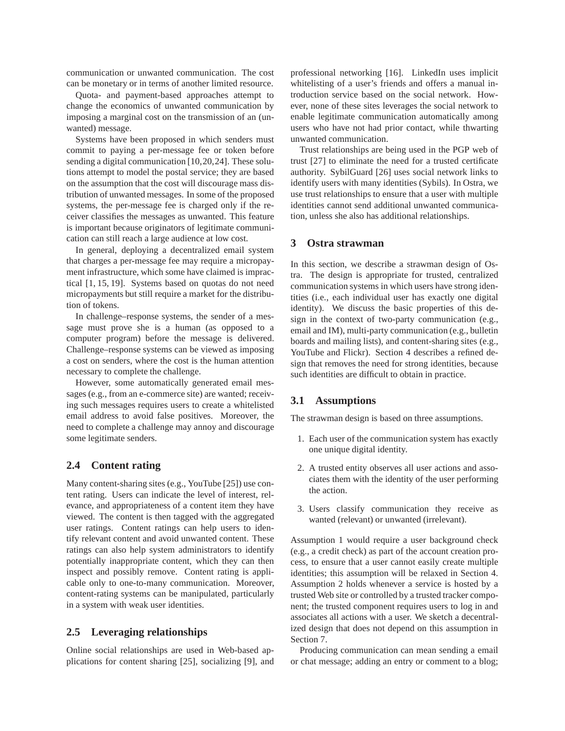communication or unwanted communication. The cost can be monetary or in terms of another limited resource.

Quota- and payment-based approaches attempt to change the economics of unwanted communication by imposing a marginal cost on the transmission of an (unwanted) message.

Systems have been proposed in which senders must commit to paying a per-message fee or token before sending a digital communication [10,20,24]. These solutions attempt to model the postal service; they are based on the assumption that the cost will discourage mass distribution of unwanted messages. In some of the proposed systems, the per-message fee is charged only if the receiver classifies the messages as unwanted. This feature is important because originators of legitimate communication can still reach a large audience at low cost.

In general, deploying a decentralized email system that charges a per-message fee may require a micropayment infrastructure, which some have claimed is impractical [1, 15, 19]. Systems based on quotas do not need micropayments but still require a market for the distribution of tokens.

In challenge–response systems, the sender of a message must prove she is a human (as opposed to a computer program) before the message is delivered. Challenge–response systems can be viewed as imposing a cost on senders, where the cost is the human attention necessary to complete the challenge.

However, some automatically generated email messages (e.g., from an e-commerce site) are wanted; receiving such messages requires users to create a whitelisted email address to avoid false positives. Moreover, the need to complete a challenge may annoy and discourage some legitimate senders.

### **2.4 Content rating**

Many content-sharing sites (e.g., YouTube [25]) use content rating. Users can indicate the level of interest, relevance, and appropriateness of a content item they have viewed. The content is then tagged with the aggregated user ratings. Content ratings can help users to identify relevant content and avoid unwanted content. These ratings can also help system administrators to identify potentially inappropriate content, which they can then inspect and possibly remove. Content rating is applicable only to one-to-many communication. Moreover, content-rating systems can be manipulated, particularly in a system with weak user identities.

### **2.5 Leveraging relationships**

Online social relationships are used in Web-based applications for content sharing [25], socializing [9], and professional networking [16]. LinkedIn uses implicit whitelisting of a user's friends and offers a manual introduction service based on the social network. However, none of these sites leverages the social network to enable legitimate communication automatically among users who have not had prior contact, while thwarting unwanted communication.

Trust relationships are being used in the PGP web of trust [27] to eliminate the need for a trusted certificate authority. SybilGuard [26] uses social network links to identify users with many identities (Sybils). In Ostra, we use trust relationships to ensure that a user with multiple identities cannot send additional unwanted communication, unless she also has additional relationships.

### **3 Ostra strawman**

In this section, we describe a strawman design of Ostra. The design is appropriate for trusted, centralized communication systems in which users have strong identities (i.e., each individual user has exactly one digital identity). We discuss the basic properties of this design in the context of two-party communication (e.g., email and IM), multi-party communication (e.g., bulletin boards and mailing lists), and content-sharing sites (e.g., YouTube and Flickr). Section 4 describes a refined design that removes the need for strong identities, because such identities are difficult to obtain in practice.

### **3.1 Assumptions**

The strawman design is based on three assumptions.

- 1. Each user of the communication system has exactly one unique digital identity.
- 2. A trusted entity observes all user actions and associates them with the identity of the user performing the action.
- 3. Users classify communication they receive as wanted (relevant) or unwanted (irrelevant).

Assumption 1 would require a user background check (e.g., a credit check) as part of the account creation process, to ensure that a user cannot easily create multiple identities; this assumption will be relaxed in Section 4. Assumption 2 holds whenever a service is hosted by a trusted Web site or controlled by a trusted tracker component; the trusted component requires users to log in and associates all actions with a user. We sketch a decentralized design that does not depend on this assumption in Section 7.

Producing communication can mean sending a email or chat message; adding an entry or comment to a blog;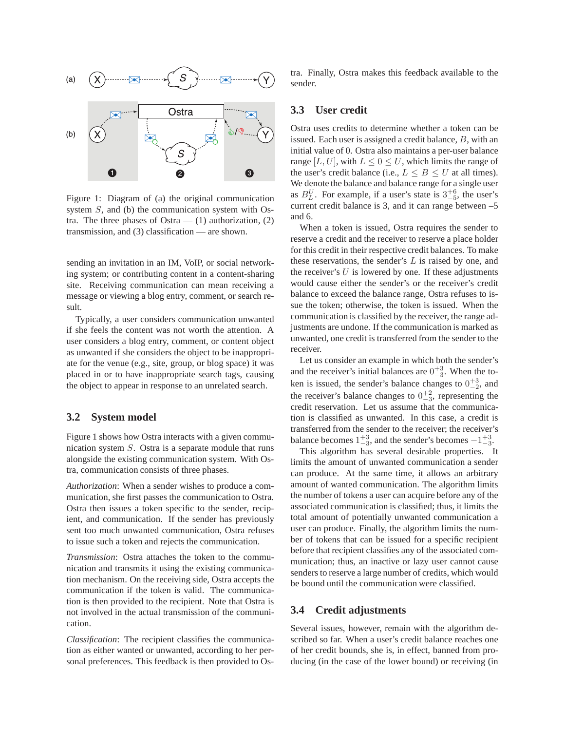

Figure 1: Diagram of (a) the original communication system S, and (b) the communication system with Ostra. The three phases of Ostra  $-$  (1) authorization, (2) transmission, and (3) classification — are shown.

sending an invitation in an IM, VoIP, or social networking system; or contributing content in a content-sharing site. Receiving communication can mean receiving a message or viewing a blog entry, comment, or search result.

Typically, a user considers communication unwanted if she feels the content was not worth the attention. A user considers a blog entry, comment, or content object as unwanted if she considers the object to be inappropriate for the venue (e.g., site, group, or blog space) it was placed in or to have inappropriate search tags, causing the object to appear in response to an unrelated search.

### **3.2 System model**

Figure 1 shows how Ostra interacts with a given communication system S. Ostra is a separate module that runs alongside the existing communication system. With Ostra, communication consists of three phases.

*Authorization*: When a sender wishes to produce a communication, she first passes the communication to Ostra. Ostra then issues a token specific to the sender, recipient, and communication. If the sender has previously sent too much unwanted communication, Ostra refuses to issue such a token and rejects the communication.

*Transmission*: Ostra attaches the token to the communication and transmits it using the existing communication mechanism. On the receiving side, Ostra accepts the communication if the token is valid. The communication is then provided to the recipient. Note that Ostra is not involved in the actual transmission of the communication.

*Classification*: The recipient classifies the communication as either wanted or unwanted, according to her personal preferences. This feedback is then provided to Ostra. Finally, Ostra makes this feedback available to the sender.

### **3.3 User credit**

Ostra uses credits to determine whether a token can be issued. Each user is assigned a credit balance, B, with an initial value of 0. Ostra also maintains a per-user balance range [L, U], with  $L \le 0 \le U$ , which limits the range of the user's credit balance (i.e.,  $L \leq B \leq U$  at all times). We denote the balance and balance range for a single user as  $B_L^U$ . For example, if a user's state is  $3^{+6}_{-5}$ , the user's current credit balance is 3, and it can range between –5 and 6.

When a token is issued, Ostra requires the sender to reserve a credit and the receiver to reserve a place holder for this credit in their respective credit balances. To make these reservations, the sender's  $L$  is raised by one, and the receiver's  $U$  is lowered by one. If these adjustments would cause either the sender's or the receiver's credit balance to exceed the balance range, Ostra refuses to issue the token; otherwise, the token is issued. When the communication is classified by the receiver, the range adjustments are undone. If the communication is marked as unwanted, one credit is transferred from the sender to the receiver.

Let us consider an example in which both the sender's and the receiver's initial balances are  $0^{+3}_{-3}$ . When the token is issued, the sender's balance changes to  $0^{+3}_{-2}$ , and the receiver's balance changes to  $0^{+2}_{-3}$ , representing the credit reservation. Let us assume that the communication is classified as unwanted. In this case, a credit is transferred from the sender to the receiver; the receiver's balance becomes  $1^{+3}_{-3}$ , and the sender's becomes  $-1^{+3}_{-3}$ .

This algorithm has several desirable properties. It limits the amount of unwanted communication a sender can produce. At the same time, it allows an arbitrary amount of wanted communication. The algorithm limits the number of tokens a user can acquire before any of the associated communication is classified; thus, it limits the total amount of potentially unwanted communication a user can produce. Finally, the algorithm limits the number of tokens that can be issued for a specific recipient before that recipient classifies any of the associated communication; thus, an inactive or lazy user cannot cause senders to reserve a large number of credits, which would be bound until the communication were classified.

### **3.4 Credit adjustments**

Several issues, however, remain with the algorithm described so far. When a user's credit balance reaches one of her credit bounds, she is, in effect, banned from producing (in the case of the lower bound) or receiving (in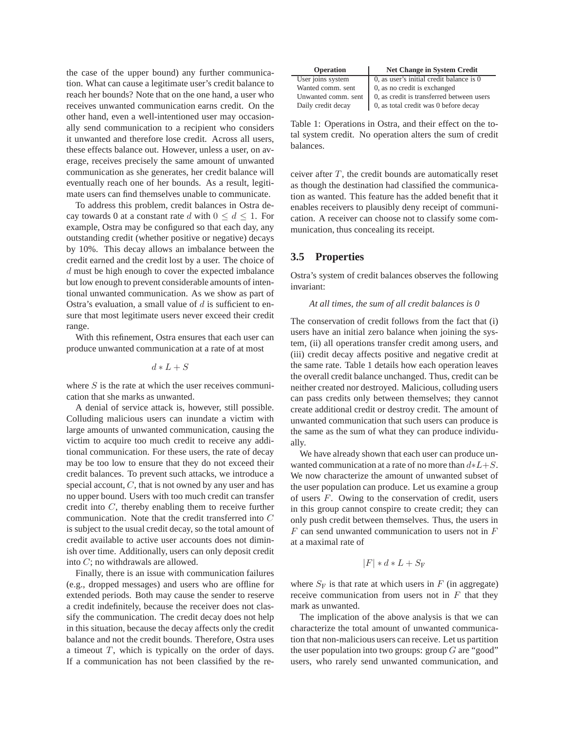the case of the upper bound) any further communication. What can cause a legitimate user's credit balance to reach her bounds? Note that on the one hand, a user who receives unwanted communication earns credit. On the other hand, even a well-intentioned user may occasionally send communication to a recipient who considers it unwanted and therefore lose credit. Across all users, these effects balance out. However, unless a user, on average, receives precisely the same amount of unwanted communication as she generates, her credit balance will eventually reach one of her bounds. As a result, legitimate users can find themselves unable to communicate.

To address this problem, credit balances in Ostra decay towards 0 at a constant rate d with  $0 \le d \le 1$ . For example, Ostra may be configured so that each day, any outstanding credit (whether positive or negative) decays by 10%. This decay allows an imbalance between the credit earned and the credit lost by a user. The choice of d must be high enough to cover the expected imbalance but low enough to prevent considerable amounts of intentional unwanted communication. As we show as part of Ostra's evaluation, a small value of  $d$  is sufficient to ensure that most legitimate users never exceed their credit range.

With this refinement, Ostra ensures that each user can produce unwanted communication at a rate of at most

$$
d * L + S
$$

where  $S$  is the rate at which the user receives communication that she marks as unwanted.

A denial of service attack is, however, still possible. Colluding malicious users can inundate a victim with large amounts of unwanted communication, causing the victim to acquire too much credit to receive any additional communication. For these users, the rate of decay may be too low to ensure that they do not exceed their credit balances. To prevent such attacks, we introduce a special account,  $C$ , that is not owned by any user and has no upper bound. Users with too much credit can transfer credit into C, thereby enabling them to receive further communication. Note that the credit transferred into C is subject to the usual credit decay, so the total amount of credit available to active user accounts does not diminish over time. Additionally, users can only deposit credit into C; no withdrawals are allowed.

Finally, there is an issue with communication failures (e.g., dropped messages) and users who are offline for extended periods. Both may cause the sender to reserve a credit indefinitely, because the receiver does not classify the communication. The credit decay does not help in this situation, because the decay affects only the credit balance and not the credit bounds. Therefore, Ostra uses a timeout  $T$ , which is typically on the order of days. If a communication has not been classified by the re-

| Operation           | <b>Net Change in System Credit</b>        |  |  |
|---------------------|-------------------------------------------|--|--|
| User joins system   | 0, as user's initial credit balance is 0  |  |  |
| Wanted comm. sent   | 0, as no credit is exchanged              |  |  |
| Unwanted comm. sent | 0, as credit is transferred between users |  |  |
| Daily credit decay  | 0, as total credit was 0 before decay     |  |  |

Table 1: Operations in Ostra, and their effect on the total system credit. No operation alters the sum of credit balances.

ceiver after  $T$ , the credit bounds are automatically reset as though the destination had classified the communication as wanted. This feature has the added benefit that it enables receivers to plausibly deny receipt of communication. A receiver can choose not to classify some communication, thus concealing its receipt.

### **3.5 Properties**

Ostra's system of credit balances observes the following invariant:

#### *At all times, the sum of all credit balances is 0*

The conservation of credit follows from the fact that (i) users have an initial zero balance when joining the system, (ii) all operations transfer credit among users, and (iii) credit decay affects positive and negative credit at the same rate. Table 1 details how each operation leaves the overall credit balance unchanged. Thus, credit can be neither created nor destroyed. Malicious, colluding users can pass credits only between themselves; they cannot create additional credit or destroy credit. The amount of unwanted communication that such users can produce is the same as the sum of what they can produce individually.

We have already shown that each user can produce unwanted communication at a rate of no more than  $d*L+S$ . We now characterize the amount of unwanted subset of the user population can produce. Let us examine a group of users F. Owing to the conservation of credit, users in this group cannot conspire to create credit; they can only push credit between themselves. Thus, the users in  $F$  can send unwanted communication to users not in  $F$ at a maximal rate of

$$
|F| * d * L + S_F
$$

where  $S_F$  is that rate at which users in F (in aggregate) receive communication from users not in  $F$  that they mark as unwanted.

The implication of the above analysis is that we can characterize the total amount of unwanted communication that non-malicious users can receive. Let us partition the user population into two groups: group  $G$  are "good" users, who rarely send unwanted communication, and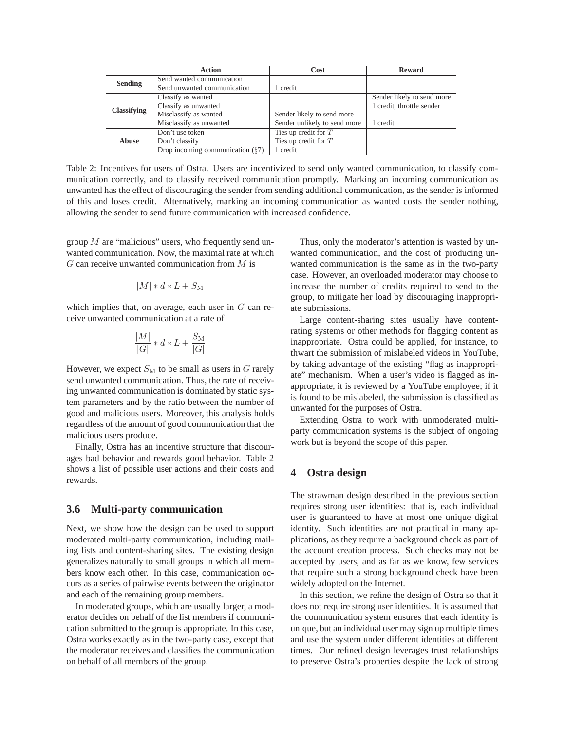|                    | <b>Action</b>                       | Cost                         | <b>Reward</b>              |
|--------------------|-------------------------------------|------------------------------|----------------------------|
| <b>Sending</b>     | Send wanted communication           |                              |                            |
|                    | Send unwanted communication         | credit                       |                            |
| <b>Classifying</b> | Classify as wanted                  |                              | Sender likely to send more |
|                    | Classify as unwanted                |                              | 1 credit, throttle sender  |
|                    | Misclassify as wanted               | Sender likely to send more   |                            |
|                    | Misclassify as unwanted             | Sender unlikely to send more | 1 credit                   |
| Abuse              | Don't use token                     | Ties up credit for $T$       |                            |
|                    | Don't classify                      | Ties up credit for $T$       |                            |
|                    | Drop incoming communication $(\S7)$ | 1 credit                     |                            |

Table 2: Incentives for users of Ostra. Users are incentivized to send only wanted communication, to classify communication correctly, and to classify received communication promptly. Marking an incoming communication as unwanted has the effect of discouraging the sender from sending additional communication, as the sender is informed of this and loses credit. Alternatively, marking an incoming communication as wanted costs the sender nothing, allowing the sender to send future communication with increased confidence.

group  $M$  are "malicious" users, who frequently send unwanted communication. Now, the maximal rate at which  $G$  can receive unwanted communication from  $M$  is

$$
|M| * d * L + S_M
$$

which implies that, on average, each user in  $G$  can receive unwanted communication at a rate of

$$
\frac{|M|}{|G|} * d * L + \frac{S_M}{|G|}
$$

However, we expect  $S_M$  to be small as users in G rarely send unwanted communication. Thus, the rate of receiving unwanted communication is dominated by static system parameters and by the ratio between the number of good and malicious users. Moreover, this analysis holds regardless of the amount of good communication that the malicious users produce.

Finally, Ostra has an incentive structure that discourages bad behavior and rewards good behavior. Table 2 shows a list of possible user actions and their costs and rewards.

### **3.6 Multi-party communication**

Next, we show how the design can be used to support moderated multi-party communication, including mailing lists and content-sharing sites. The existing design generalizes naturally to small groups in which all members know each other. In this case, communication occurs as a series of pairwise events between the originator and each of the remaining group members.

In moderated groups, which are usually larger, a moderator decides on behalf of the list members if communication submitted to the group is appropriate. In this case, Ostra works exactly as in the two-party case, except that the moderator receives and classifies the communication on behalf of all members of the group.

Thus, only the moderator's attention is wasted by unwanted communication, and the cost of producing unwanted communication is the same as in the two-party case. However, an overloaded moderator may choose to increase the number of credits required to send to the group, to mitigate her load by discouraging inappropriate submissions.

Large content-sharing sites usually have contentrating systems or other methods for flagging content as inappropriate. Ostra could be applied, for instance, to thwart the submission of mislabeled videos in YouTube, by taking advantage of the existing "flag as inappropriate" mechanism. When a user's video is flagged as inappropriate, it is reviewed by a YouTube employee; if it is found to be mislabeled, the submission is classified as unwanted for the purposes of Ostra.

Extending Ostra to work with unmoderated multiparty communication systems is the subject of ongoing work but is beyond the scope of this paper.

### **4 Ostra design**

The strawman design described in the previous section requires strong user identities: that is, each individual user is guaranteed to have at most one unique digital identity. Such identities are not practical in many applications, as they require a background check as part of the account creation process. Such checks may not be accepted by users, and as far as we know, few services that require such a strong background check have been widely adopted on the Internet.

In this section, we refine the design of Ostra so that it does not require strong user identities. It is assumed that the communication system ensures that each identity is unique, but an individual user may sign up multiple times and use the system under different identities at different times. Our refined design leverages trust relationships to preserve Ostra's properties despite the lack of strong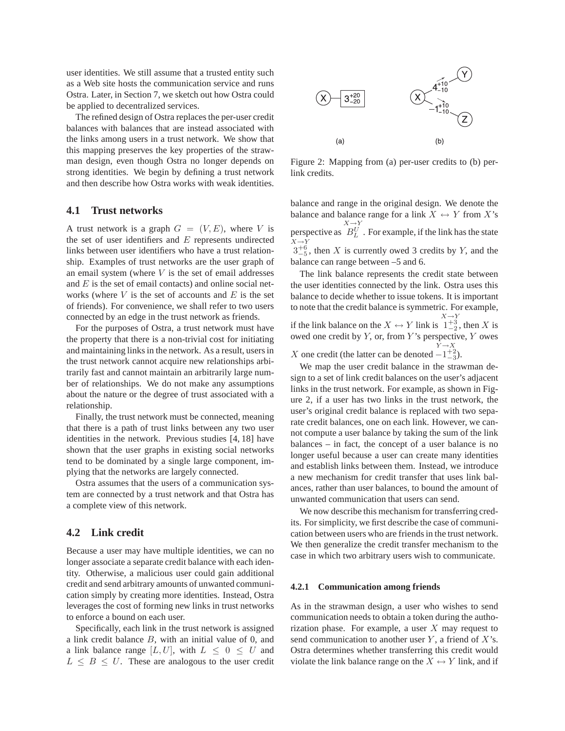user identities. We still assume that a trusted entity such as a Web site hosts the communication service and runs Ostra. Later, in Section 7, we sketch out how Ostra could be applied to decentralized services.

The refined design of Ostra replaces the per-user credit balances with balances that are instead associated with the links among users in a trust network. We show that this mapping preserves the key properties of the strawman design, even though Ostra no longer depends on strong identities. We begin by defining a trust network and then describe how Ostra works with weak identities.

### **4.1 Trust networks**

A trust network is a graph  $G = (V, E)$ , where V is the set of user identifiers and  $E$  represents undirected links between user identifiers who have a trust relationship. Examples of trust networks are the user graph of an email system (where  $V$  is the set of email addresses and  $E$  is the set of email contacts) and online social networks (where  $V$  is the set of accounts and  $E$  is the set of friends). For convenience, we shall refer to two users connected by an edge in the trust network as friends.

For the purposes of Ostra, a trust network must have the property that there is a non-trivial cost for initiating and maintaining links in the network. As a result, users in the trust network cannot acquire new relationships arbitrarily fast and cannot maintain an arbitrarily large number of relationships. We do not make any assumptions about the nature or the degree of trust associated with a relationship.

Finally, the trust network must be connected, meaning that there is a path of trust links between any two user identities in the network. Previous studies [4, 18] have shown that the user graphs in existing social networks tend to be dominated by a single large component, implying that the networks are largely connected.

Ostra assumes that the users of a communication system are connected by a trust network and that Ostra has a complete view of this network.

### **4.2 Link credit**

Because a user may have multiple identities, we can no longer associate a separate credit balance with each identity. Otherwise, a malicious user could gain additional credit and send arbitrary amounts of unwanted communication simply by creating more identities. Instead, Ostra leverages the cost of forming new links in trust networks to enforce a bound on each user.

Specifically, each link in the trust network is assigned a link credit balance  $B$ , with an initial value of 0, and a link balance range  $[L, U]$ , with  $L \leq 0 \leq U$  and  $L \leq B \leq U$ . These are analogous to the user credit



Figure 2: Mapping from (a) per-user credits to (b) perlink credits.

balance and range in the original design. We denote the balance and balance range for a link  $X \leftrightarrow Y$  from X's perspective as  $B_L^U$ . For example, if the link has the state  $X \rightarrow Y$  $X \rightarrow Y$ 

 $3^{+6}_{-5}$ , then X is currently owed 3 credits by Y, and the balance can range between –5 and 6.

The link balance represents the credit state between the user identities connected by the link. Ostra uses this balance to decide whether to issue tokens. It is important to note that the credit balance is symmetric. For example, if the link balance on the  $X \leftrightarrow Y$  link is  $1^{+3}_{-2}$ , then X is  $X \rightarrow Y$ owed one credit by  $Y$ , or, from  $Y$ 's perspective,  $Y$  owes  $Y \rightarrow X$ 

X one credit (the latter can be denoted  $-1^{+2}_{-3}$ ).

We map the user credit balance in the strawman design to a set of link credit balances on the user's adjacent links in the trust network. For example, as shown in Figure 2, if a user has two links in the trust network, the user's original credit balance is replaced with two separate credit balances, one on each link. However, we cannot compute a user balance by taking the sum of the link balances – in fact, the concept of a user balance is no longer useful because a user can create many identities and establish links between them. Instead, we introduce a new mechanism for credit transfer that uses link balances, rather than user balances, to bound the amount of unwanted communication that users can send.

We now describe this mechanism for transferring credits. For simplicity, we first describe the case of communication between users who are friends in the trust network. We then generalize the credit transfer mechanism to the case in which two arbitrary users wish to communicate.

#### **4.2.1 Communication among friends**

As in the strawman design, a user who wishes to send communication needs to obtain a token during the authorization phase. For example, a user  $X$  may request to send communication to another user  $Y$ , a friend of  $X$ 's. Ostra determines whether transferring this credit would violate the link balance range on the  $X \leftrightarrow Y$  link, and if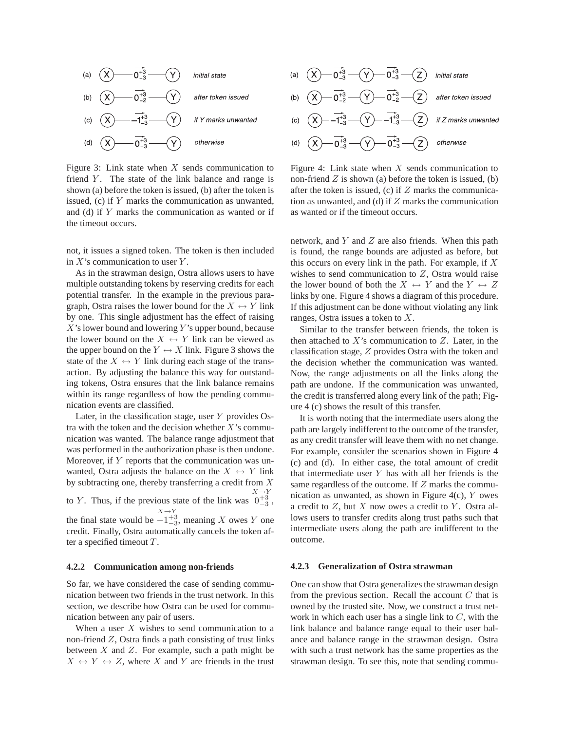

Figure 3: Link state when  $X$  sends communication to friend  $Y$ . The state of the link balance and range is shown (a) before the token is issued, (b) after the token is issued, (c) if Y marks the communication as unwanted, and (d) if Y marks the communication as wanted or if the timeout occurs.

not, it issues a signed token. The token is then included in  $X$ 's communication to user  $Y$ .

As in the strawman design, Ostra allows users to have multiple outstanding tokens by reserving credits for each potential transfer. In the example in the previous paragraph, Ostra raises the lower bound for the  $X \leftrightarrow Y$  link by one. This single adjustment has the effect of raising  $X$ 's lower bound and lowering Y's upper bound, because the lower bound on the  $X \leftrightarrow Y$  link can be viewed as the upper bound on the  $Y \leftrightarrow X$  link. Figure 3 shows the state of the  $X \leftrightarrow Y$  link during each stage of the transaction. By adjusting the balance this way for outstanding tokens, Ostra ensures that the link balance remains within its range regardless of how the pending communication events are classified.

Later, in the classification stage, user  $Y$  provides Ostra with the token and the decision whether  $X$ 's communication was wanted. The balance range adjustment that was performed in the authorization phase is then undone. Moreover, if Y reports that the communication was unwanted, Ostra adjusts the balance on the  $X \leftrightarrow Y$  link by subtracting one, thereby transferring a credit from X to Y. Thus, if the previous state of the link was  $0^{+3}_{-3}$ ,  $X \rightarrow Y$ the final state would be  $-1^{+3}_{-3}$ , meaning X owes Y one  $X \rightarrow Y$ credit. Finally, Ostra automatically cancels the token after a specified timeout  $T$ .

#### **4.2.2 Communication among non-friends**

So far, we have considered the case of sending communication between two friends in the trust network. In this section, we describe how Ostra can be used for communication between any pair of users.

When a user  $X$  wishes to send communication to a non-friend  $Z$ , Ostra finds a path consisting of trust links between  $X$  and  $Z$ . For example, such a path might be  $X \leftrightarrow Y \leftrightarrow Z$ , where X and Y are friends in the trust



Figure 4: Link state when  $X$  sends communication to non-friend  $Z$  is shown (a) before the token is issued, (b) after the token is issued, (c) if  $Z$  marks the communication as unwanted, and (d) if  $Z$  marks the communication as wanted or if the timeout occurs.

network, and  $Y$  and  $Z$  are also friends. When this path is found, the range bounds are adjusted as before, but this occurs on every link in the path. For example, if  $X$ wishes to send communication to  $Z$ , Ostra would raise the lower bound of both the  $X \leftrightarrow Y$  and the  $Y \leftrightarrow Z$ links by one. Figure 4 shows a diagram of this procedure. If this adjustment can be done without violating any link ranges, Ostra issues a token to X.

Similar to the transfer between friends, the token is then attached to  $X$ 's communication to  $Z$ . Later, in the classification stage, Z provides Ostra with the token and the decision whether the communication was wanted. Now, the range adjustments on all the links along the path are undone. If the communication was unwanted, the credit is transferred along every link of the path; Figure 4 (c) shows the result of this transfer.

It is worth noting that the intermediate users along the path are largely indifferent to the outcome of the transfer, as any credit transfer will leave them with no net change. For example, consider the scenarios shown in Figure 4 (c) and (d). In either case, the total amount of credit that intermediate user  $Y$  has with all her friends is the same regardless of the outcome. If Z marks the communication as unwanted, as shown in Figure 4(c),  $Y$  owes a credit to  $Z$ , but  $X$  now owes a credit to  $Y$ . Ostra allows users to transfer credits along trust paths such that intermediate users along the path are indifferent to the outcome.

#### **4.2.3 Generalization of Ostra strawman**

One can show that Ostra generalizes the strawman design from the previous section. Recall the account  $C$  that is owned by the trusted site. Now, we construct a trust network in which each user has a single link to  $C$ , with the link balance and balance range equal to their user balance and balance range in the strawman design. Ostra with such a trust network has the same properties as the strawman design. To see this, note that sending commu-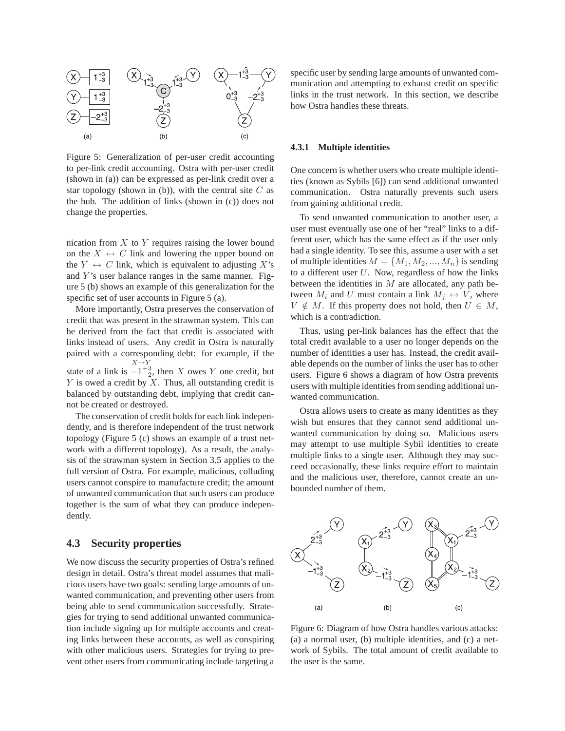

Figure 5: Generalization of per-user credit accounting to per-link credit accounting. Ostra with per-user credit (shown in (a)) can be expressed as per-link credit over a star topology (shown in (b)), with the central site  $C$  as the hub. The addition of links (shown in (c)) does not change the properties.

nication from  $X$  to  $Y$  requires raising the lower bound on the  $X \leftrightarrow C$  link and lowering the upper bound on the  $Y \leftrightarrow C$  link, which is equivalent to adjusting X's and  $Y$ 's user balance ranges in the same manner. Figure 5 (b) shows an example of this generalization for the specific set of user accounts in Figure 5 (a).

More importantly, Ostra preserves the conservation of credit that was present in the strawman system. This can be derived from the fact that credit is associated with links instead of users. Any credit in Ostra is naturally paired with a corresponding debt: for example, if the state of a link is  $-1^{+3}_{-2}$ , then X owes Y one credit, but  $X \rightarrow Y$  $Y$  is owed a credit by  $X$ . Thus, all outstanding credit is balanced by outstanding debt, implying that credit cannot be created or destroyed.

The conservation of credit holds for each link independently, and is therefore independent of the trust network topology (Figure 5 (c) shows an example of a trust network with a different topology). As a result, the analysis of the strawman system in Section 3.5 applies to the full version of Ostra. For example, malicious, colluding users cannot conspire to manufacture credit; the amount of unwanted communication that such users can produce together is the sum of what they can produce independently.

### **4.3 Security properties**

We now discuss the security properties of Ostra's refined design in detail. Ostra's threat model assumes that malicious users have two goals: sending large amounts of unwanted communication, and preventing other users from being able to send communication successfully. Strategies for trying to send additional unwanted communication include signing up for multiple accounts and creating links between these accounts, as well as conspiring with other malicious users. Strategies for trying to prevent other users from communicating include targeting a specific user by sending large amounts of unwanted communication and attempting to exhaust credit on specific links in the trust network. In this section, we describe how Ostra handles these threats.

#### **4.3.1 Multiple identities**

One concern is whether users who create multiple identities (known as Sybils [6]) can send additional unwanted communication. Ostra naturally prevents such users from gaining additional credit.

To send unwanted communication to another user, a user must eventually use one of her "real" links to a different user, which has the same effect as if the user only had a single identity. To see this, assume a user with a set of multiple identities  $M = \{M_1, M_2, ..., M_n\}$  is sending to a different user  $U$ . Now, regardless of how the links between the identities in  $M$  are allocated, any path between  $M_i$  and U must contain a link  $M_i \leftrightarrow V$ , where  $V \notin M$ . If this property does not hold, then  $U \in M$ , which is a contradiction.

Thus, using per-link balances has the effect that the total credit available to a user no longer depends on the number of identities a user has. Instead, the credit available depends on the number of links the user has to other users. Figure 6 shows a diagram of how Ostra prevents users with multiple identities from sending additional unwanted communication.

Ostra allows users to create as many identities as they wish but ensures that they cannot send additional unwanted communication by doing so. Malicious users may attempt to use multiple Sybil identities to create multiple links to a single user. Although they may succeed occasionally, these links require effort to maintain and the malicious user, therefore, cannot create an unbounded number of them.



Figure 6: Diagram of how Ostra handles various attacks: (a) a normal user, (b) multiple identities, and (c) a network of Sybils. The total amount of credit available to the user is the same.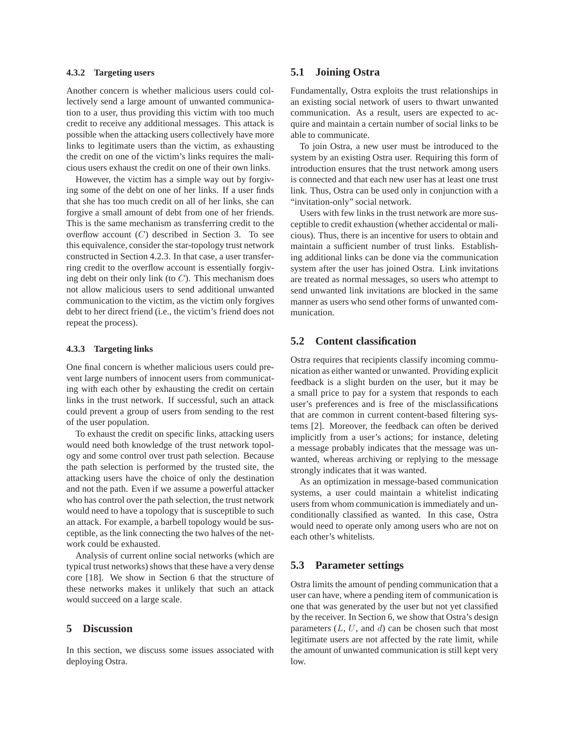#### **4.3.2 Targeting users**

Another concern is whether malicious users could collectively send a large amount of unwanted communication to a user, thus providing this victim with too much credit to receive any additional messages. This attack is possible when the attacking users collectively have more links to legitimate users than the victim, as exhausting the credit on one of the victim's links requires the malicious users exhaust the credit on one of their own links.

However, the victim has a simple way out by forgiving some of the debt on one of her links. If a user finds that she has too much credit on all of her links, she can forgive a small amount of debt from one of her friends. This is the same mechanism as transferring credit to the overflow account  $(C)$  described in Section 3. To see this equivalence, consider the star-topology trust network constructed in Section 4.2.3. In that case, a user transferring credit to the overflow account is essentially forgiving debt on their only link (to  $C$ ). This mechanism does not allow malicious users to send additional unwanted communication to the victim, as the victim only forgives debt to her direct friend (i.e., the victim's friend does not repeat the process).

### **4.3.3 Targeting links**

One final concern is whether malicious users could prevent large numbers of innocent users from communicating with each other by exhausting the credit on certain links in the trust network. If successful, such an attack could prevent a group of users from sending to the rest of the user population.

To exhaust the credit on specific links, attacking users would need both knowledge of the trust network topology and some control over trust path selection. Because the path selection is performed by the trusted site, the attacking users have the choice of only the destination and not the path. Even if we assume a powerful attacker who has control over the path selection, the trust network would need to have a topology that is susceptible to such an attack. For example, a barbell topology would be susceptible, as the link connecting the two halves of the network could be exhausted.

Analysis of current online social networks (which are typical trust networks) shows that these have a very dense core [18]. We show in Section 6 that the structure of these networks makes it unlikely that such an attack would succeed on a large scale.

### **5 Discussion**

In this section, we discuss some issues associated with deploying Ostra.

### **5.1 Joining Ostra**

Fundamentally, Ostra exploits the trust relationships in an existing social network of users to thwart unwanted communication. As a result, users are expected to acquire and maintain a certain number of social links to be able to communicate.

To join Ostra, a new user must be introduced to the system by an existing Ostra user. Requiring this form of introduction ensures that the trust network among users is connected and that each new user has at least one trust link. Thus, Ostra can be used only in conjunction with a "invitation-only" social network.

Users with few links in the trust network are more susceptible to credit exhaustion (whether accidental or malicious). Thus, there is an incentive for users to obtain and maintain a sufficient number of trust links. Establishing additional links can be done via the communication system after the user has joined Ostra. Link invitations are treated as normal messages, so users who attempt to send unwanted link invitations are blocked in the same manner as users who send other forms of unwanted communication.

## **5.2 Content classification**

Ostra requires that recipients classify incoming communication as either wanted or unwanted. Providing explicit feedback is a slight burden on the user, but it may be a small price to pay for a system that responds to each user's preferences and is free of the misclassifications that are common in current content-based filtering systems [2]. Moreover, the feedback can often be derived implicitly from a user's actions; for instance, deleting a message probably indicates that the message was unwanted, whereas archiving or replying to the message strongly indicates that it was wanted.

As an optimization in message-based communication systems, a user could maintain a whitelist indicating users from whom communication is immediately and unconditionally classified as wanted. In this case, Ostra would need to operate only among users who are not on each other's whitelists.

### **5.3 Parameter settings**

Ostra limits the amount of pending communication that a user can have, where a pending item of communication is one that was generated by the user but not yet classified by the receiver. In Section 6, we show that Ostra's design parameters  $(L, U, \text{ and } d)$  can be chosen such that most legitimate users are not affected by the rate limit, while the amount of unwanted communication is still kept very low.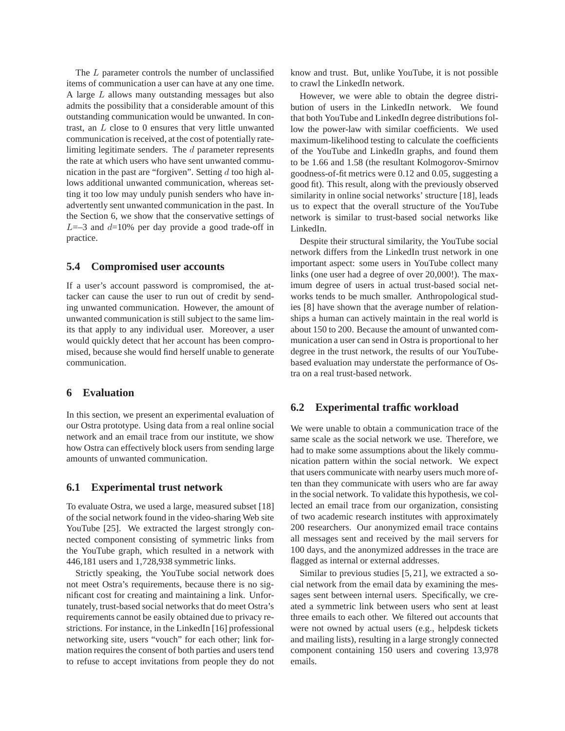The L parameter controls the number of unclassified items of communication a user can have at any one time. A large L allows many outstanding messages but also admits the possibility that a considerable amount of this outstanding communication would be unwanted. In contrast, an L close to 0 ensures that very little unwanted communication is received, at the cost of potentially ratelimiting legitimate senders. The  $d$  parameter represents the rate at which users who have sent unwanted communication in the past are "forgiven". Setting  $d$  too high allows additional unwanted communication, whereas setting it too low may unduly punish senders who have inadvertently sent unwanted communication in the past. In the Section 6, we show that the conservative settings of  $L=-3$  and  $d=10%$  per day provide a good trade-off in practice.

### **5.4 Compromised user accounts**

If a user's account password is compromised, the attacker can cause the user to run out of credit by sending unwanted communication. However, the amount of unwanted communication is still subject to the same limits that apply to any individual user. Moreover, a user would quickly detect that her account has been compromised, because she would find herself unable to generate communication.

### **6 Evaluation**

In this section, we present an experimental evaluation of our Ostra prototype. Using data from a real online social network and an email trace from our institute, we show how Ostra can effectively block users from sending large amounts of unwanted communication.

### **6.1 Experimental trust network**

To evaluate Ostra, we used a large, measured subset [18] of the social network found in the video-sharing Web site YouTube [25]. We extracted the largest strongly connected component consisting of symmetric links from the YouTube graph, which resulted in a network with 446,181 users and 1,728,938 symmetric links.

Strictly speaking, the YouTube social network does not meet Ostra's requirements, because there is no significant cost for creating and maintaining a link. Unfortunately, trust-based social networks that do meet Ostra's requirements cannot be easily obtained due to privacy restrictions. For instance, in the LinkedIn [16] professional networking site, users "vouch" for each other; link formation requires the consent of both parties and users tend to refuse to accept invitations from people they do not know and trust. But, unlike YouTube, it is not possible to crawl the LinkedIn network.

However, we were able to obtain the degree distribution of users in the LinkedIn network. We found that both YouTube and LinkedIn degree distributions follow the power-law with similar coefficients. We used maximum-likelihood testing to calculate the coefficients of the YouTube and LinkedIn graphs, and found them to be 1.66 and 1.58 (the resultant Kolmogorov-Smirnov goodness-of-fit metrics were 0.12 and 0.05, suggesting a good fit). This result, along with the previously observed similarity in online social networks' structure [18], leads us to expect that the overall structure of the YouTube network is similar to trust-based social networks like LinkedIn.

Despite their structural similarity, the YouTube social network differs from the LinkedIn trust network in one important aspect: some users in YouTube collect many links (one user had a degree of over 20,000!). The maximum degree of users in actual trust-based social networks tends to be much smaller. Anthropological studies [8] have shown that the average number of relationships a human can actively maintain in the real world is about 150 to 200. Because the amount of unwanted communication a user can send in Ostra is proportional to her degree in the trust network, the results of our YouTubebased evaluation may understate the performance of Ostra on a real trust-based network.

### **6.2 Experimental traffic workload**

We were unable to obtain a communication trace of the same scale as the social network we use. Therefore, we had to make some assumptions about the likely communication pattern within the social network. We expect that users communicate with nearby users much more often than they communicate with users who are far away in the social network. To validate this hypothesis, we collected an email trace from our organization, consisting of two academic research institutes with approximately 200 researchers. Our anonymized email trace contains all messages sent and received by the mail servers for 100 days, and the anonymized addresses in the trace are flagged as internal or external addresses.

Similar to previous studies [5, 21], we extracted a social network from the email data by examining the messages sent between internal users. Specifically, we created a symmetric link between users who sent at least three emails to each other. We filtered out accounts that were not owned by actual users (e.g., helpdesk tickets and mailing lists), resulting in a large strongly connected component containing 150 users and covering 13,978 emails.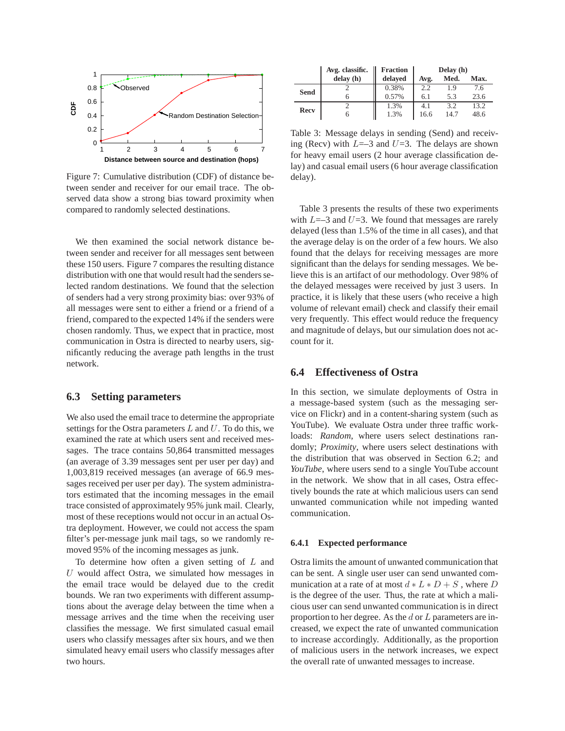

Figure 7: Cumulative distribution (CDF) of distance between sender and receiver for our email trace. The observed data show a strong bias toward proximity when compared to randomly selected destinations.

We then examined the social network distance between sender and receiver for all messages sent between these 150 users. Figure 7 compares the resulting distance distribution with one that would result had the senders selected random destinations. We found that the selection of senders had a very strong proximity bias: over 93% of all messages were sent to either a friend or a friend of a friend, compared to the expected 14% if the senders were chosen randomly. Thus, we expect that in practice, most communication in Ostra is directed to nearby users, significantly reducing the average path lengths in the trust network.

### **6.3 Setting parameters**

We also used the email trace to determine the appropriate settings for the Ostra parameters  $L$  and  $U$ . To do this, we examined the rate at which users sent and received messages. The trace contains 50,864 transmitted messages (an average of 3.39 messages sent per user per day) and 1,003,819 received messages (an average of 66.9 messages received per user per day). The system administrators estimated that the incoming messages in the email trace consisted of approximately 95% junk mail. Clearly, most of these receptions would not occur in an actual Ostra deployment. However, we could not access the spam filter's per-message junk mail tags, so we randomly removed 95% of the incoming messages as junk.

To determine how often a given setting of  $L$  and  $U$  would affect Ostra, we simulated how messages in the email trace would be delayed due to the credit bounds. We ran two experiments with different assumptions about the average delay between the time when a message arrives and the time when the receiving user classifies the message. We first simulated casual email users who classify messages after six hours, and we then simulated heavy email users who classify messages after two hours.

|             | Avg. classific. | <b>Fraction</b> | Delay (h)     |      |      |
|-------------|-----------------|-----------------|---------------|------|------|
|             | delay(h)        | delayed         | Avg.          | Med. | Max. |
| <b>Send</b> |                 | 0.38%           | $2.2^{\circ}$ | 19   | 7.6  |
|             |                 | 0.57%           | 6.1           | 5.3  | 23.6 |
| Recy        |                 | 1.3%            | 4.1           | 3.2  | 13.2 |
|             |                 | 1.3%            | 16.6          | 14.7 | 48.6 |

Table 3: Message delays in sending (Send) and receiving (Recv) with  $L=-3$  and  $U=3$ . The delays are shown for heavy email users (2 hour average classification delay) and casual email users (6 hour average classification delay).

Table 3 presents the results of these two experiments with  $L=-3$  and  $U=3$ . We found that messages are rarely delayed (less than 1.5% of the time in all cases), and that the average delay is on the order of a few hours. We also found that the delays for receiving messages are more significant than the delays for sending messages. We believe this is an artifact of our methodology. Over 98% of the delayed messages were received by just 3 users. In practice, it is likely that these users (who receive a high volume of relevant email) check and classify their email very frequently. This effect would reduce the frequency and magnitude of delays, but our simulation does not account for it.

### **6.4 Effectiveness of Ostra**

In this section, we simulate deployments of Ostra in a message-based system (such as the messaging service on Flickr) and in a content-sharing system (such as YouTube). We evaluate Ostra under three traffic workloads: *Random*, where users select destinations randomly; *Proximity*, where users select destinations with the distribution that was observed in Section 6.2; and *YouTube*, where users send to a single YouTube account in the network. We show that in all cases, Ostra effectively bounds the rate at which malicious users can send unwanted communication while not impeding wanted communication.

#### **6.4.1 Expected performance**

Ostra limits the amount of unwanted communication that can be sent. A single user user can send unwanted communication at a rate of at most  $d * L * D + S$ , where D is the degree of the user. Thus, the rate at which a malicious user can send unwanted communication is in direct proportion to her degree. As the  $d$  or  $L$  parameters are increased, we expect the rate of unwanted communication to increase accordingly. Additionally, as the proportion of malicious users in the network increases, we expect the overall rate of unwanted messages to increase.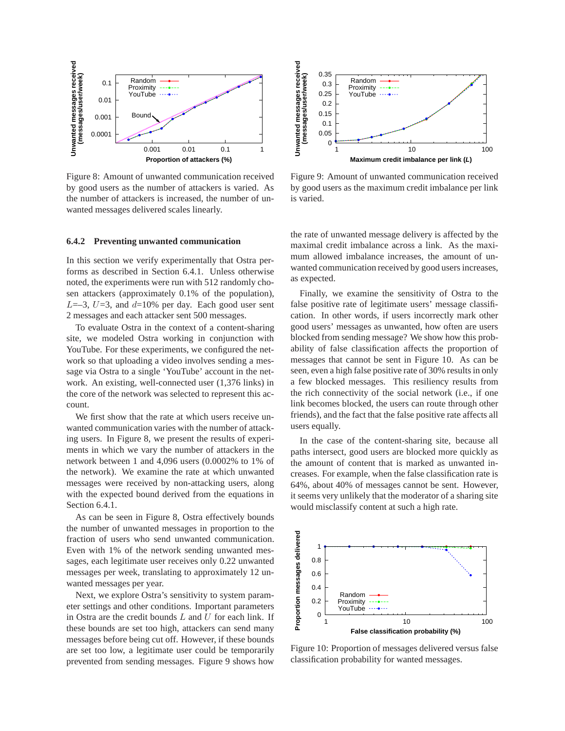

Figure 8: Amount of unwanted communication received by good users as the number of attackers is varied. As the number of attackers is increased, the number of unwanted messages delivered scales linearly.

#### **6.4.2 Preventing unwanted communication**

In this section we verify experimentally that Ostra performs as described in Section 6.4.1. Unless otherwise noted, the experiments were run with 512 randomly chosen attackers (approximately 0.1% of the population),  $L=-3$ ,  $U=3$ , and  $d=10%$  per day. Each good user sent 2 messages and each attacker sent 500 messages.

To evaluate Ostra in the context of a content-sharing site, we modeled Ostra working in conjunction with YouTube. For these experiments, we configured the network so that uploading a video involves sending a message via Ostra to a single 'YouTube' account in the network. An existing, well-connected user (1,376 links) in the core of the network was selected to represent this account.

We first show that the rate at which users receive unwanted communication varies with the number of attacking users. In Figure 8, we present the results of experiments in which we vary the number of attackers in the network between 1 and 4,096 users (0.0002% to 1% of the network). We examine the rate at which unwanted messages were received by non-attacking users, along with the expected bound derived from the equations in Section 6.4.1.

As can be seen in Figure 8, Ostra effectively bounds the number of unwanted messages in proportion to the fraction of users who send unwanted communication. Even with 1% of the network sending unwanted messages, each legitimate user receives only 0.22 unwanted messages per week, translating to approximately 12 unwanted messages per year.

Next, we explore Ostra's sensitivity to system parameter settings and other conditions. Important parameters in Ostra are the credit bounds  $L$  and  $U$  for each link. If these bounds are set too high, attackers can send many messages before being cut off. However, if these bounds are set too low, a legitimate user could be temporarily prevented from sending messages. Figure 9 shows how



Figure 9: Amount of unwanted communication received by good users as the maximum credit imbalance per link is varied.

the rate of unwanted message delivery is affected by the maximal credit imbalance across a link. As the maximum allowed imbalance increases, the amount of unwanted communication received by good users increases, as expected.

Finally, we examine the sensitivity of Ostra to the false positive rate of legitimate users' message classification. In other words, if users incorrectly mark other good users' messages as unwanted, how often are users blocked from sending message? We show how this probability of false classification affects the proportion of messages that cannot be sent in Figure 10. As can be seen, even a high false positive rate of 30% results in only a few blocked messages. This resiliency results from the rich connectivity of the social network (i.e., if one link becomes blocked, the users can route through other friends), and the fact that the false positive rate affects all users equally.

In the case of the content-sharing site, because all paths intersect, good users are blocked more quickly as the amount of content that is marked as unwanted increases. For example, when the false classification rate is 64%, about 40% of messages cannot be sent. However, it seems very unlikely that the moderator of a sharing site would misclassify content at such a high rate.



Figure 10: Proportion of messages delivered versus false classification probability for wanted messages.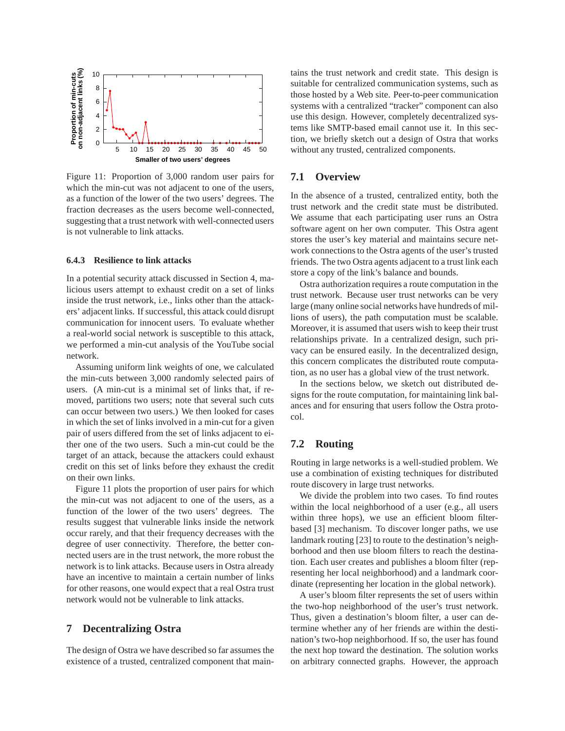

Figure 11: Proportion of 3,000 random user pairs for which the min-cut was not adjacent to one of the users, as a function of the lower of the two users' degrees. The fraction decreases as the users become well-connected, suggesting that a trust network with well-connected users is not vulnerable to link attacks.

#### **6.4.3 Resilience to link attacks**

In a potential security attack discussed in Section 4, malicious users attempt to exhaust credit on a set of links inside the trust network, i.e., links other than the attackers' adjacent links. If successful, this attack could disrupt communication for innocent users. To evaluate whether a real-world social network is susceptible to this attack, we performed a min-cut analysis of the YouTube social network.

Assuming uniform link weights of one, we calculated the min-cuts between 3,000 randomly selected pairs of users. (A min-cut is a minimal set of links that, if removed, partitions two users; note that several such cuts can occur between two users.) We then looked for cases in which the set of links involved in a min-cut for a given pair of users differed from the set of links adjacent to either one of the two users. Such a min-cut could be the target of an attack, because the attackers could exhaust credit on this set of links before they exhaust the credit on their own links.

Figure 11 plots the proportion of user pairs for which the min-cut was not adjacent to one of the users, as a function of the lower of the two users' degrees. The results suggest that vulnerable links inside the network occur rarely, and that their frequency decreases with the degree of user connectivity. Therefore, the better connected users are in the trust network, the more robust the network is to link attacks. Because users in Ostra already have an incentive to maintain a certain number of links for other reasons, one would expect that a real Ostra trust network would not be vulnerable to link attacks.

### **7 Decentralizing Ostra**

The design of Ostra we have described so far assumes the existence of a trusted, centralized component that maintains the trust network and credit state. This design is suitable for centralized communication systems, such as those hosted by a Web site. Peer-to-peer communication systems with a centralized "tracker" component can also use this design. However, completely decentralized systems like SMTP-based email cannot use it. In this section, we briefly sketch out a design of Ostra that works without any trusted, centralized components.

## **7.1 Overview**

In the absence of a trusted, centralized entity, both the trust network and the credit state must be distributed. We assume that each participating user runs an Ostra software agent on her own computer. This Ostra agent stores the user's key material and maintains secure network connections to the Ostra agents of the user's trusted friends. The two Ostra agents adjacent to a trust link each store a copy of the link's balance and bounds.

Ostra authorization requires a route computation in the trust network. Because user trust networks can be very large (many online social networks have hundreds of millions of users), the path computation must be scalable. Moreover, it is assumed that users wish to keep their trust relationships private. In a centralized design, such privacy can be ensured easily. In the decentralized design, this concern complicates the distributed route computation, as no user has a global view of the trust network.

In the sections below, we sketch out distributed designs for the route computation, for maintaining link balances and for ensuring that users follow the Ostra protocol.

## **7.2 Routing**

Routing in large networks is a well-studied problem. We use a combination of existing techniques for distributed route discovery in large trust networks.

We divide the problem into two cases. To find routes within the local neighborhood of a user (e.g., all users within three hops), we use an efficient bloom filterbased [3] mechanism. To discover longer paths, we use landmark routing [23] to route to the destination's neighborhood and then use bloom filters to reach the destination. Each user creates and publishes a bloom filter (representing her local neighborhood) and a landmark coordinate (representing her location in the global network).

A user's bloom filter represents the set of users within the two-hop neighborhood of the user's trust network. Thus, given a destination's bloom filter, a user can determine whether any of her friends are within the destination's two-hop neighborhood. If so, the user has found the next hop toward the destination. The solution works on arbitrary connected graphs. However, the approach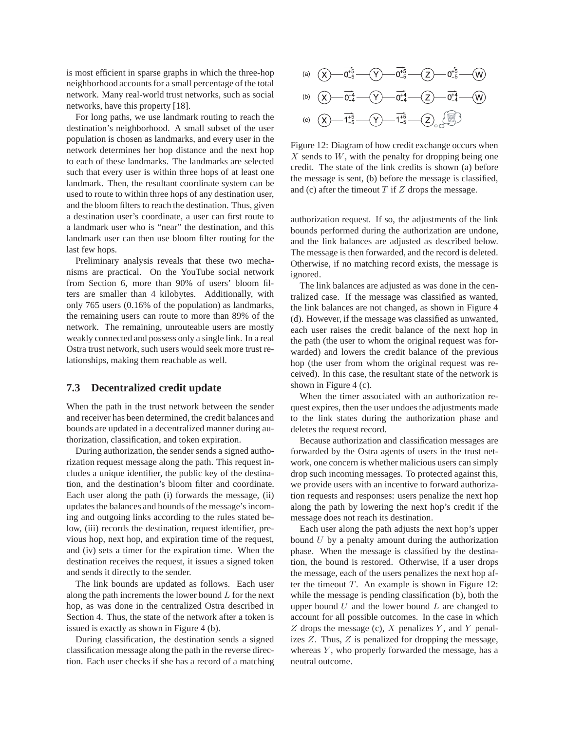is most efficient in sparse graphs in which the three-hop neighborhood accounts for a small percentage of the total network. Many real-world trust networks, such as social networks, have this property [18].

For long paths, we use landmark routing to reach the destination's neighborhood. A small subset of the user population is chosen as landmarks, and every user in the network determines her hop distance and the next hop to each of these landmarks. The landmarks are selected such that every user is within three hops of at least one landmark. Then, the resultant coordinate system can be used to route to within three hops of any destination user, and the bloom filters to reach the destination. Thus, given a destination user's coordinate, a user can first route to a landmark user who is "near" the destination, and this landmark user can then use bloom filter routing for the last few hops.

Preliminary analysis reveals that these two mechanisms are practical. On the YouTube social network from Section 6, more than 90% of users' bloom filters are smaller than 4 kilobytes. Additionally, with only 765 users (0.16% of the population) as landmarks, the remaining users can route to more than 89% of the network. The remaining, unrouteable users are mostly weakly connected and possess only a single link. In a real Ostra trust network, such users would seek more trust relationships, making them reachable as well.

### **7.3 Decentralized credit update**

When the path in the trust network between the sender and receiver has been determined, the credit balances and bounds are updated in a decentralized manner during authorization, classification, and token expiration.

During authorization, the sender sends a signed authorization request message along the path. This request includes a unique identifier, the public key of the destination, and the destination's bloom filter and coordinate. Each user along the path (i) forwards the message, (ii) updates the balances and bounds of the message's incoming and outgoing links according to the rules stated below, (iii) records the destination, request identifier, previous hop, next hop, and expiration time of the request, and (iv) sets a timer for the expiration time. When the destination receives the request, it issues a signed token and sends it directly to the sender.

The link bounds are updated as follows. Each user along the path increments the lower bound  $L$  for the next hop, as was done in the centralized Ostra described in Section 4. Thus, the state of the network after a token is issued is exactly as shown in Figure 4 (b).

During classification, the destination sends a signed classification message along the path in the reverse direction. Each user checks if she has a record of a matching



Figure 12: Diagram of how credit exchange occurs when  $X$  sends to  $W$ , with the penalty for dropping being one credit. The state of the link credits is shown (a) before the message is sent, (b) before the message is classified, and (c) after the timeout  $T$  if  $Z$  drops the message.

authorization request. If so, the adjustments of the link bounds performed during the authorization are undone, and the link balances are adjusted as described below. The message is then forwarded, and the record is deleted. Otherwise, if no matching record exists, the message is ignored.

The link balances are adjusted as was done in the centralized case. If the message was classified as wanted, the link balances are not changed, as shown in Figure 4 (d). However, if the message was classified as unwanted, each user raises the credit balance of the next hop in the path (the user to whom the original request was forwarded) and lowers the credit balance of the previous hop (the user from whom the original request was received). In this case, the resultant state of the network is shown in Figure 4 (c).

When the timer associated with an authorization request expires, then the user undoes the adjustments made to the link states during the authorization phase and deletes the request record.

Because authorization and classification messages are forwarded by the Ostra agents of users in the trust network, one concern is whether malicious users can simply drop such incoming messages. To protected against this, we provide users with an incentive to forward authorization requests and responses: users penalize the next hop along the path by lowering the next hop's credit if the message does not reach its destination.

Each user along the path adjusts the next hop's upper bound  $U$  by a penalty amount during the authorization phase. When the message is classified by the destination, the bound is restored. Otherwise, if a user drops the message, each of the users penalizes the next hop after the timeout  $T$ . An example is shown in Figure 12: while the message is pending classification (b), both the upper bound  $U$  and the lower bound  $L$  are changed to account for all possible outcomes. In the case in which  $Z$  drops the message (c),  $X$  penalizes  $Y$ , and  $Y$  penalizes Z. Thus, Z is penalized for dropping the message, whereas  $Y$ , who properly forwarded the message, has a neutral outcome.